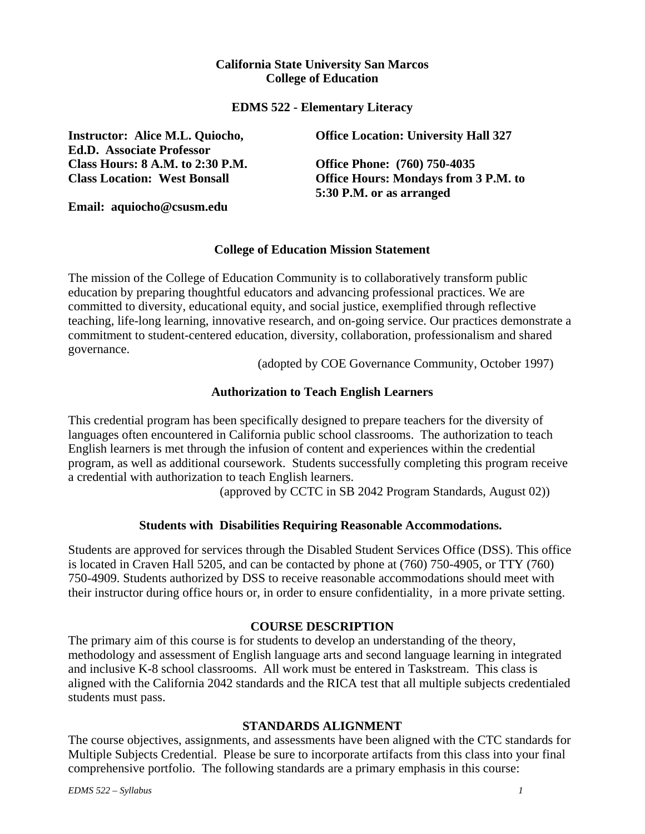### **California State University San Marcos College of Education**

#### **EDMS 522 - Elementary Literacy**

**Instructor: Alice M.L. Quiocho, Ed.D. Associate Professor Class Hours: 8 A.M. to 2:30 P.M. Office Phone: (760) 750-4035** 

**Office Location: University Hall 327** 

**Class Location: West Bonsall Office Hours: Mondays from 3 P.M. to 5:30 P.M. or as arranged** 

**Email: aquiocho@csusm.edu** 

## **College of Education Mission Statement**

The mission of the College of Education Community is to collaboratively transform public education by preparing thoughtful educators and advancing professional practices. We are committed to diversity, educational equity, and social justice, exemplified through reflective teaching, life-long learning, innovative research, and on-going service. Our practices demonstrate a commitment to student-centered education, diversity, collaboration, professionalism and shared governance.

(adopted by COE Governance Community, October 1997)

# **Authorization to Teach English Learners**

This credential program has been specifically designed to prepare teachers for the diversity of languages often encountered in California public school classrooms. The authorization to teach English learners is met through the infusion of content and experiences within the credential program, as well as additional coursework. Students successfully completing this program receive a credential with authorization to teach English learners.

(approved by CCTC in SB 2042 Program Standards, August 02))

# **Students with Disabilities Requiring Reasonable Accommodations.**

Students are approved for services through the Disabled Student Services Office (DSS). This office is located in Craven Hall 5205, and can be contacted by phone at (760) 750-4905, or TTY (760) 750-4909. Students authorized by DSS to receive reasonable accommodations should meet with their instructor during office hours or, in order to ensure confidentiality, in a more private setting.

# **COURSE DESCRIPTION**

The primary aim of this course is for students to develop an understanding of the theory, methodology and assessment of English language arts and second language learning in integrated and inclusive K-8 school classrooms. All work must be entered in Taskstream. This class is aligned with the California 2042 standards and the RICA test that all multiple subjects credentialed students must pass.

### **STANDARDS ALIGNMENT**

The course objectives, assignments, and assessments have been aligned with the CTC standards for Multiple Subjects Credential. Please be sure to incorporate artifacts from this class into your final comprehensive portfolio. The following standards are a primary emphasis in this course: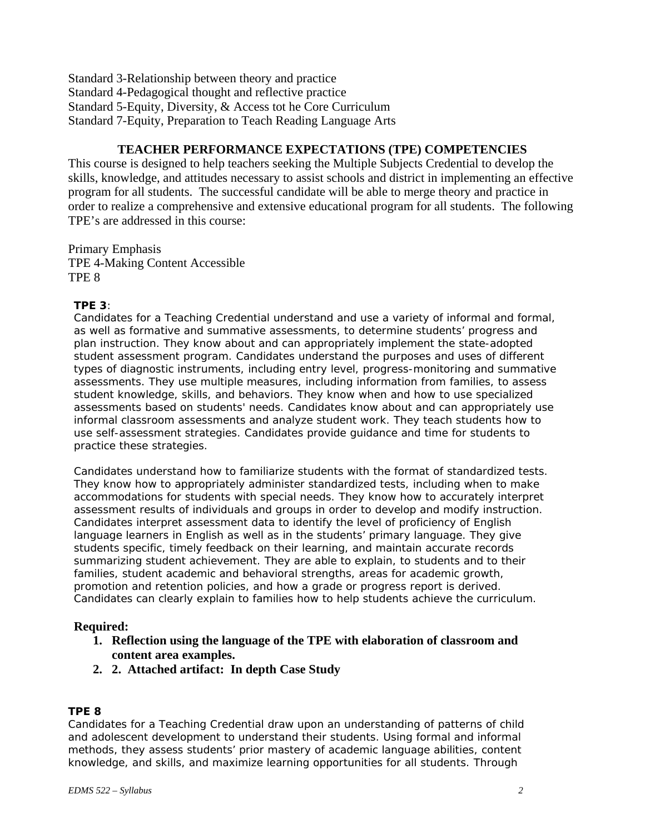Standard 3-Relationship between theory and practice Standard 4-Pedagogical thought and reflective practice Standard 5-Equity, Diversity, & Access tot he Core Curriculum Standard 7-Equity, Preparation to Teach Reading Language Arts

### **TEACHER PERFORMANCE EXPECTATIONS (TPE) COMPETENCIES**

This course is designed to help teachers seeking the Multiple Subjects Credential to develop the skills, knowledge, and attitudes necessary to assist schools and district in implementing an effective program for all students. The successful candidate will be able to merge theory and practice in order to realize a comprehensive and extensive educational program for all students. The following TPE's are addressed in this course:

Primary Emphasis TPE 4-Making Content Accessible TPE 8

#### **TPE 3**:

Candidates for a Teaching Credential understand and use a variety of informal and formal, as well as formative and summative assessments, to determine students' progress and plan instruction. They know about and can appropriately implement the state-adopted student assessment program. Candidates understand the purposes and uses of different types of diagnostic instruments, including entry level, progress-monitoring and summative assessments. They use multiple measures, including information from families, to assess student knowledge, skills, and behaviors. They know when and how to use specialized assessments based on students' needs. Candidates know about and can appropriately use informal classroom assessments and analyze student work. They teach students how to use self-assessment strategies. Candidates provide guidance and time for students to practice these strategies.

Candidates understand how to familiarize students with the format of standardized tests. They know how to appropriately administer standardized tests, including when to make accommodations for students with special needs. They know how to accurately interpret assessment results of individuals and groups in order to develop and modify instruction. Candidates interpret assessment data to identify the level of proficiency of English language learners in English as well as in the students' primary language. They give students specific, timely feedback on their learning, and maintain accurate records summarizing student achievement. They are able to explain, to students and to their families, student academic and behavioral strengths, areas for academic growth, promotion and retention policies, and how a grade or progress report is derived. Candidates can clearly explain to families how to help students achieve the curriculum.

#### **Required:**

- **1. Reflection using the language of the TPE with elaboration of classroom and content area examples.**
- **2. 2. Attached artifact: In depth Case Study**

#### **TPE 8**

Candidates for a Teaching Credential draw upon an understanding of patterns of child and adolescent development to understand their students. Using formal and informal methods, they assess students' prior mastery of academic language abilities, content knowledge, and skills, and maximize learning opportunities for all students. Through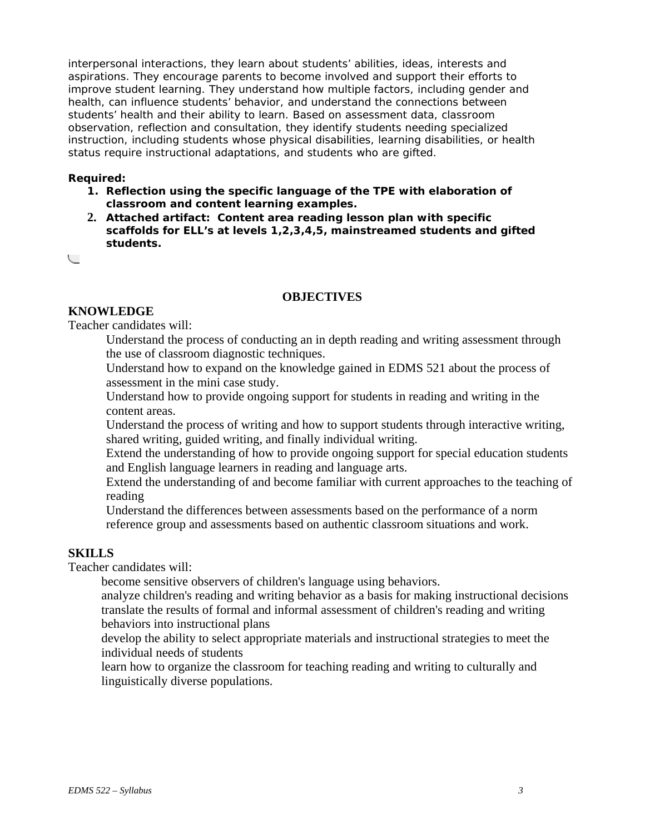interpersonal interactions, they learn about students' abilities, ideas, interests and aspirations. They encourage parents to become involved and support their efforts to improve student learning. They understand how multiple factors, including gender and health, can influence students' behavior, and understand the connections between students' health and their ability to learn. Based on assessment data, classroom observation, reflection and consultation, they identify students needing specialized instruction, including students whose physical disabilities, learning disabilities, or health status require instructional adaptations, and students who are gifted.

#### **Required:**

- **1. Reflection using the specific language of the TPE with elaboration of classroom and content learning examples.**
- **2. Attached artifact: Content area reading lesson plan with specific scaffolds for ELL's at levels 1,2,3,4,5, mainstreamed students and gifted students.**

 $\overline{\phantom{0}}$ 

### **OBJECTIVES**

# **KNOWLEDGE**

Teacher candidates will:

Understand the process of conducting an in depth reading and writing assessment through the use of classroom diagnostic techniques.

Understand how to expand on the knowledge gained in EDMS 521 about the process of assessment in the mini case study.

Understand how to provide ongoing support for students in reading and writing in the content areas.

Understand the process of writing and how to support students through interactive writing, shared writing, guided writing, and finally individual writing.

Extend the understanding of how to provide ongoing support for special education students and English language learners in reading and language arts.

Extend the understanding of and become familiar with current approaches to the teaching of reading

Understand the differences between assessments based on the performance of a norm reference group and assessments based on authentic classroom situations and work.

#### **SKILLS**

Teacher candidates will:

become sensitive observers of children's language using behaviors.

analyze children's reading and writing behavior as a basis for making instructional decisions translate the results of formal and informal assessment of children's reading and writing behaviors into instructional plans

develop the ability to select appropriate materials and instructional strategies to meet the individual needs of students

learn how to organize the classroom for teaching reading and writing to culturally and linguistically diverse populations.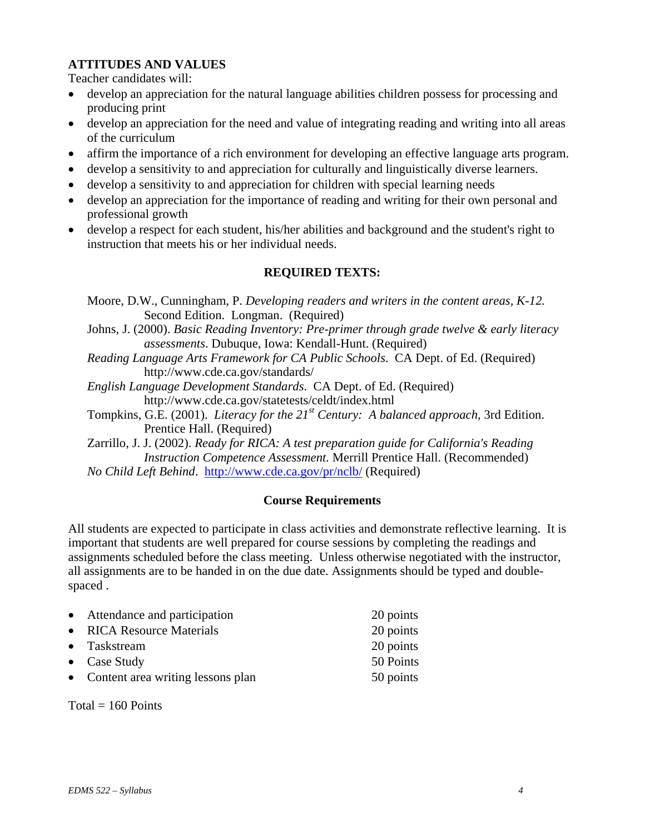# **ATTITUDES AND VALUES**

Teacher candidates will:

- develop an appreciation for the natural language abilities children possess for processing and producing print
- develop an appreciation for the need and value of integrating reading and writing into all areas of the curriculum
- affirm the importance of a rich environment for developing an effective language arts program.
- develop a sensitivity to and appreciation for culturally and linguistically diverse learners.
- develop a sensitivity to and appreciation for children with special learning needs
- develop an appreciation for the importance of reading and writing for their own personal and professional growth
- develop a respect for each student, his/her abilities and background and the student's right to instruction that meets his or her individual needs.

# **REQUIRED TEXTS:**

Moore, D.W., Cunningham, P. *Developing readers and writers in the content areas, K-12.*  Second Edition. Longman. (Required)

Johns, J. (2000). *Basic Reading Inventory: Pre-primer through grade twelve & early literacy assessments*. Dubuque, Iowa: Kendall-Hunt. (Required)

- *Reading Language Arts Framework for CA Public Schools*. CA Dept. of Ed. (Required) http://www.cde.ca.gov/standards/
- *English Language Development Standards*. CA Dept. of Ed. (Required) http://www.cde.ca.gov/statetests/celdt/index.html
- Tompkins, G.E. (2001). *Literacy for the 21<sup>st</sup> Century: A balanced approach*, 3rd Edition. Prentice Hall. (Required)

Zarrillo, J. J. (2002). *Ready for RICA: A test preparation guide for California's Reading Instruction Competence Assessment.* Merrill Prentice Hall. (Recommended)

*No Child Left Behind*. http://www.cde.ca.gov/pr/nclb/ (Required)

# **Course Requirements**

All students are expected to participate in class activities and demonstrate reflective learning. It is important that students are well prepared for course sessions by completing the readings and assignments scheduled before the class meeting. Unless otherwise negotiated with the instructor, all assignments are to be handed in on the due date. Assignments should be typed and doublespaced .

| • Attendance and participation      | 20 points |
|-------------------------------------|-----------|
| • RICA Resource Materials           | 20 points |
| • Taskstream                        | 20 points |
| • Case Study                        | 50 Points |
| • Content area writing lessons plan | 50 points |
|                                     |           |

 $Total = 160$  Points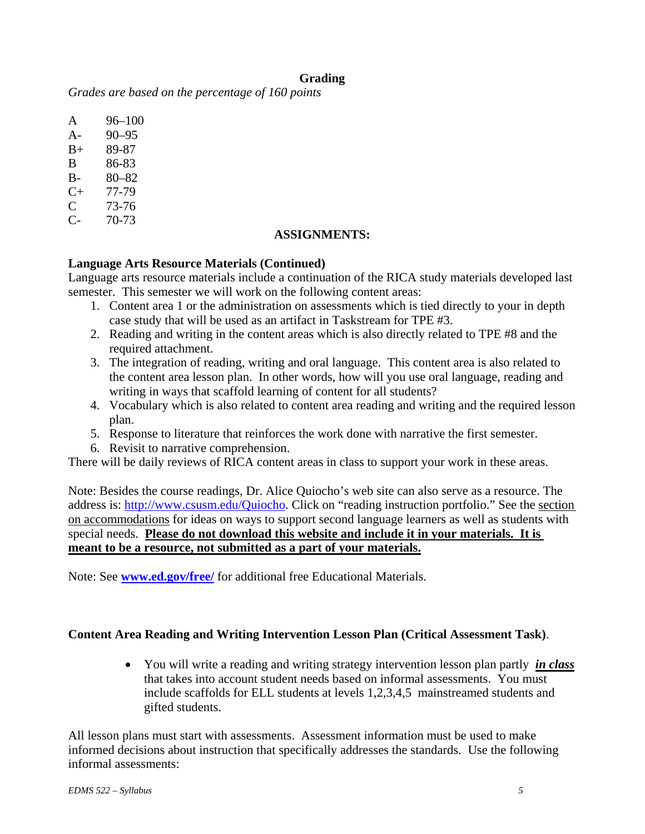## **Grading**

*Grades are based on the percentage of 160 points* 

- $A = 96-100$
- A- 90–95
- B+ 89-87
- B 86-83
- B- 80–82
- C+ 77-79
- $C = 73-76$
- C- 70-73

# **ASSIGNMENTS:**

# **Language Arts Resource Materials (Continued)**

Language arts resource materials include a continuation of the RICA study materials developed last semester. This semester we will work on the following content areas:

- 1. Content area 1 or the administration on assessments which is tied directly to your in depth case study that will be used as an artifact in Taskstream for TPE #3.
- 2. Reading and writing in the content areas which is also directly related to TPE #8 and the required attachment.
- 3. The integration of reading, writing and oral language. This content area is also related to the content area lesson plan. In other words, how will you use oral language, reading and writing in ways that scaffold learning of content for all students?
- 4. Vocabulary which is also related to content area reading and writing and the required lesson plan.
- 5. Response to literature that reinforces the work done with narrative the first semester.
- 6. Revisit to narrative comprehension.

There will be daily reviews of RICA content areas in class to support your work in these areas.

Note: Besides the course readings, Dr. Alice Quiocho's web site can also serve as a resource. The address is: http://www.csusm.edu/Quiocho. Click on "reading instruction portfolio." See the section on accommodations for ideas on ways to support second language learners as well as students with special needs. **Please do not download this website and include it in your materials. It is meant to be a resource, not submitted as a part of your materials.**

Note: See **www.ed.gov/free/** for additional free Educational Materials.

# **Content Area Reading and Writing Intervention Lesson Plan (Critical Assessment Task)**.

• You will write a reading and writing strategy intervention lesson plan partly *in class* that takes into account student needs based on informal assessments. You must include scaffolds for ELL students at levels 1,2,3,4,5 mainstreamed students and gifted students.

All lesson plans must start with assessments. Assessment information must be used to make informed decisions about instruction that specifically addresses the standards. Use the following informal assessments: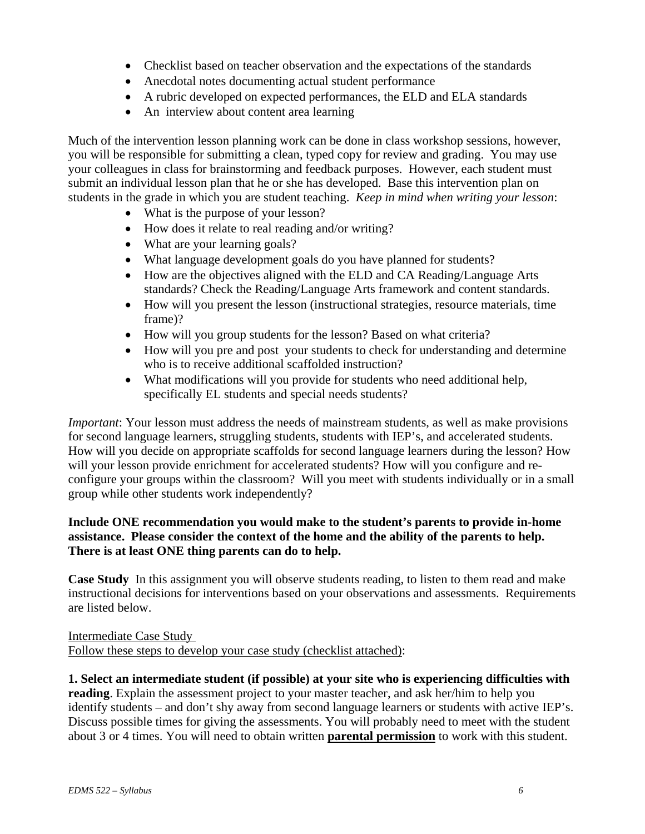- Checklist based on teacher observation and the expectations of the standards
- Anecdotal notes documenting actual student performance
- A rubric developed on expected performances, the ELD and ELA standards
- An interview about content area learning

Much of the intervention lesson planning work can be done in class workshop sessions, however, you will be responsible for submitting a clean, typed copy for review and grading. You may use your colleagues in class for brainstorming and feedback purposes. However, each student must submit an individual lesson plan that he or she has developed. Base this intervention plan on students in the grade in which you are student teaching. *Keep in mind when writing your lesson*:

- What is the purpose of your lesson?
- How does it relate to real reading and/or writing?
- What are your learning goals?
- What language development goals do you have planned for students?
- How are the objectives aligned with the ELD and CA Reading/Language Arts standards? Check the Reading/Language Arts framework and content standards.
- How will you present the lesson (instructional strategies, resource materials, time frame)?
- How will you group students for the lesson? Based on what criteria?
- How will you pre and post your students to check for understanding and determine who is to receive additional scaffolded instruction?
- What modifications will you provide for students who need additional help, specifically EL students and special needs students?

*Important*: Your lesson must address the needs of mainstream students, as well as make provisions for second language learners, struggling students, students with IEP's, and accelerated students. How will you decide on appropriate scaffolds for second language learners during the lesson? How will your lesson provide enrichment for accelerated students? How will you configure and reconfigure your groups within the classroom? Will you meet with students individually or in a small group while other students work independently?

## **Include ONE recommendation you would make to the student's parents to provide in-home assistance. Please consider the context of the home and the ability of the parents to help. There is at least ONE thing parents can do to help.**

**Case Study** In this assignment you will observe students reading, to listen to them read and make instructional decisions for interventions based on your observations and assessments. Requirements are listed below.

#### Intermediate Case Study Follow these steps to develop your case study (checklist attached):

## **1. Select an intermediate student (if possible) at your site who is experiencing difficulties with reading**. Explain the assessment project to your master teacher, and ask her/him to help you identify students – and don't shy away from second language learners or students with active IEP's. Discuss possible times for giving the assessments. You will probably need to meet with the student about 3 or 4 times. You will need to obtain written **parental permission** to work with this student.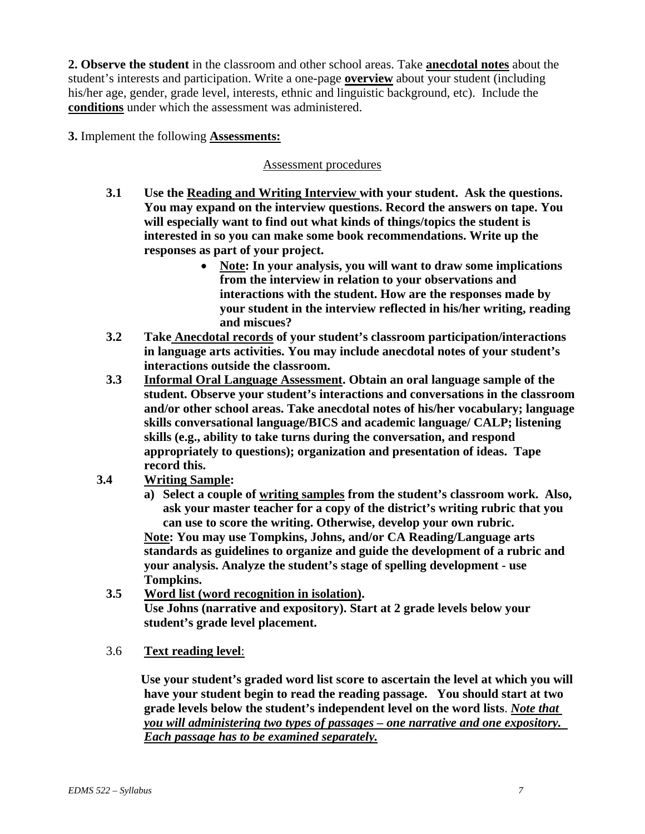**2. Observe the student** in the classroom and other school areas. Take **anecdotal notes** about the student's interests and participation. Write a one-page **overview** about your student (including his/her age, gender, grade level, interests, ethnic and linguistic background, etc). Include the **conditions** under which the assessment was administered.

**3.** Implement the following **Assessments:**

#### Assessment procedures

- **3.1 Use the Reading and Writing Interview with your student. Ask the questions. You may expand on the interview questions. Record the answers on tape. You will especially want to find out what kinds of things/topics the student is interested in so you can make some book recommendations. Write up the responses as part of your project.** 
	- **Note: In your analysis, you will want to draw some implications from the interview in relation to your observations and interactions with the student. How are the responses made by your student in the interview reflected in his/her writing, reading and miscues?**
- **3.2 Take Anecdotal records of your student's classroom participation/interactions in language arts activities. You may include anecdotal notes of your student's interactions outside the classroom.**
- **3.3 Informal Oral Language Assessment. Obtain an oral language sample of the student. Observe your student's interactions and conversations in the classroom and/or other school areas. Take anecdotal notes of his/her vocabulary; language skills conversational language/BICS and academic language/ CALP; listening skills (e.g., ability to take turns during the conversation, and respond appropriately to questions); organization and presentation of ideas. Tape record this.**
- **3.4 Writing Sample:** 
	- **a) Select a couple of writing samples from the student's classroom work. Also, ask your master teacher for a copy of the district's writing rubric that you can use to score the writing. Otherwise, develop your own rubric.**

**Note: You may use Tompkins, Johns, and/or CA Reading/Language arts standards as guidelines to organize and guide the development of a rubric and your analysis. Analyze the student's stage of spelling development - use Tompkins.** 

- **3.5 Word list (word recognition in isolation). Use Johns (narrative and expository). Start at 2 grade levels below your student's grade level placement.**
- 3.6 **Text reading level**:

 **Use your student's graded word list score to ascertain the level at which you will have your student begin to read the reading passage. You should start at two grade levels below the student's independent level on the word lists**. *Note that you will administering two types of passages – one narrative and one expository. Each passage has to be examined separately.*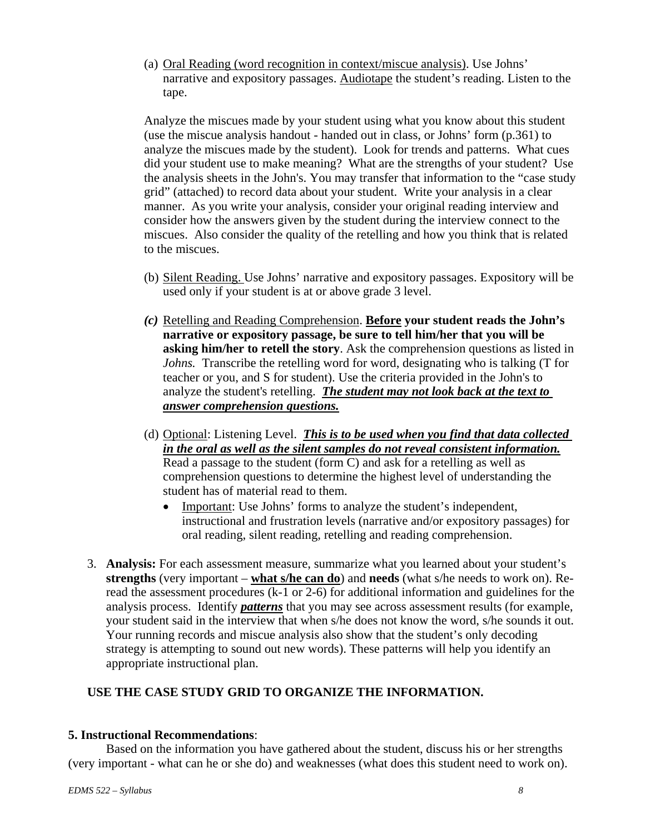(a) Oral Reading (word recognition in context/miscue analysis). Use Johns' narrative and expository passages. Audiotape the student's reading. Listen to the tape.

 Analyze the miscues made by your student using what you know about this student (use the miscue analysis handout - handed out in class, or Johns' form (p.361) to analyze the miscues made by the student). Look for trends and patterns. What cues did your student use to make meaning? What are the strengths of your student? Use the analysis sheets in the John's. You may transfer that information to the "case study grid" (attached) to record data about your student. Write your analysis in a clear manner. As you write your analysis, consider your original reading interview and consider how the answers given by the student during the interview connect to the miscues. Also consider the quality of the retelling and how you think that is related to the miscues.

- (b) Silent Reading. Use Johns' narrative and expository passages. Expository will be used only if your student is at or above grade 3 level.
- *(c)* Retelling and Reading Comprehension. **Before your student reads the John's narrative or expository passage, be sure to tell him/her that you will be asking him/her to retell the story**. Ask the comprehension questions as listed in *Johns.* Transcribe the retelling word for word, designating who is talking (T for teacher or you, and S for student). Use the criteria provided in the John's to analyze the student's retelling. *The student may not look back at the text to answer comprehension questions.*
- (d) Optional: Listening Level. *This is to be used when you find that data collected in the oral as well as the silent samples do not reveal consistent information.* Read a passage to the student (form C) and ask for a retelling as well as comprehension questions to determine the highest level of understanding the student has of material read to them.
	- Important: Use Johns' forms to analyze the student's independent, instructional and frustration levels (narrative and/or expository passages) for oral reading, silent reading, retelling and reading comprehension.
- 3. **Analysis:** For each assessment measure, summarize what you learned about your student's **strengths** (very important – **what s/he can do**) and **needs** (what s/he needs to work on). Reread the assessment procedures (k-1 or 2-6) for additional information and guidelines for the analysis process. Identify *patterns* that you may see across assessment results (for example, your student said in the interview that when s/he does not know the word, s/he sounds it out. Your running records and miscue analysis also show that the student's only decoding strategy is attempting to sound out new words). These patterns will help you identify an appropriate instructional plan.

# **USE THE CASE STUDY GRID TO ORGANIZE THE INFORMATION.**

### **5. Instructional Recommendations**:

Based on the information you have gathered about the student, discuss his or her strengths (very important - what can he or she do) and weaknesses (what does this student need to work on).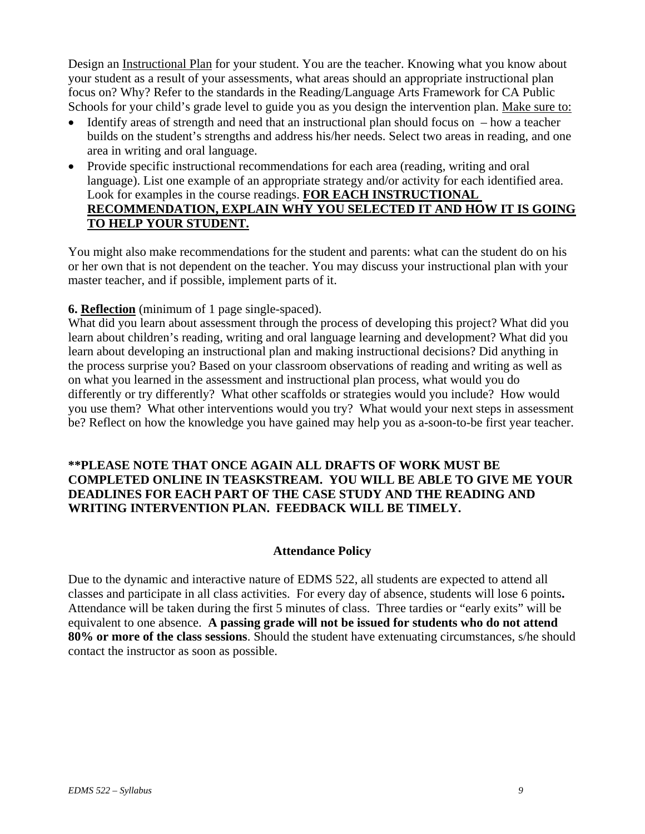Design an Instructional Plan for your student. You are the teacher. Knowing what you know about your student as a result of your assessments, what areas should an appropriate instructional plan focus on? Why? Refer to the standards in the Reading/Language Arts Framework for CA Public Schools for your child's grade level to guide you as you design the intervention plan. Make sure to:

- Identify areas of strength and need that an instructional plan should focus on  $-$  how a teacher builds on the student's strengths and address his/her needs. Select two areas in reading, and one area in writing and oral language.
- Provide specific instructional recommendations for each area (reading, writing and oral language). List one example of an appropriate strategy and/or activity for each identified area. Look for examples in the course readings. **FOR EACH INSTRUCTIONAL RECOMMENDATION, EXPLAIN WHY YOU SELECTED IT AND HOW IT IS GOING TO HELP YOUR STUDENT.**

You might also make recommendations for the student and parents: what can the student do on his or her own that is not dependent on the teacher. You may discuss your instructional plan with your master teacher, and if possible, implement parts of it.

**6. Reflection** (minimum of 1 page single-spaced).

What did you learn about assessment through the process of developing this project? What did you learn about children's reading, writing and oral language learning and development? What did you learn about developing an instructional plan and making instructional decisions? Did anything in the process surprise you? Based on your classroom observations of reading and writing as well as on what you learned in the assessment and instructional plan process, what would you do differently or try differently? What other scaffolds or strategies would you include? How would you use them? What other interventions would you try? What would your next steps in assessment be? Reflect on how the knowledge you have gained may help you as a-soon-to-be first year teacher.

## **\*\*PLEASE NOTE THAT ONCE AGAIN ALL DRAFTS OF WORK MUST BE COMPLETED ONLINE IN TEASKSTREAM. YOU WILL BE ABLE TO GIVE ME YOUR DEADLINES FOR EACH PART OF THE CASE STUDY AND THE READING AND WRITING INTERVENTION PLAN. FEEDBACK WILL BE TIMELY.**

### **Attendance Policy**

Due to the dynamic and interactive nature of EDMS 522, all students are expected to attend all classes and participate in all class activities. For every day of absence, students will lose 6 points**.**  Attendance will be taken during the first 5 minutes of class. Three tardies or "early exits" will be equivalent to one absence. **A passing grade will not be issued for students who do not attend 80% or more of the class sessions**. Should the student have extenuating circumstances, s/he should contact the instructor as soon as possible.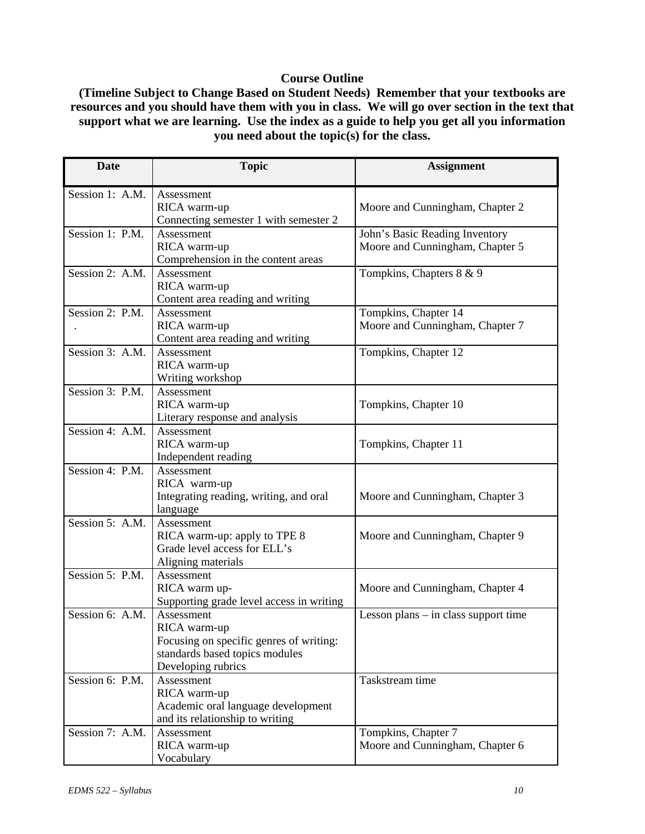## **Course Outline**

**(Timeline Subject to Change Based on Student Needs) Remember that your textbooks are resources and you should have them with you in class. We will go over section in the text that support what we are learning. Use the index as a guide to help you get all you information you need about the topic(s) for the class.** 

| <b>Date</b>     | <b>Topic</b>                             | <b>Assignment</b>                    |
|-----------------|------------------------------------------|--------------------------------------|
| Session 1: A.M. | Assessment                               |                                      |
|                 | RICA warm-up                             | Moore and Cunningham, Chapter 2      |
|                 | Connecting semester 1 with semester 2    |                                      |
| Session 1: P.M. | Assessment                               | John's Basic Reading Inventory       |
|                 | RICA warm-up                             | Moore and Cunningham, Chapter 5      |
|                 | Comprehension in the content areas       |                                      |
| Session 2: A.M. | Assessment                               | Tompkins, Chapters 8 & 9             |
|                 | RICA warm-up                             |                                      |
|                 | Content area reading and writing         |                                      |
| Session 2: P.M. | Assessment                               | Tompkins, Chapter 14                 |
|                 | RICA warm-up                             | Moore and Cunningham, Chapter 7      |
|                 | Content area reading and writing         |                                      |
| Session 3: A.M. | Assessment                               | Tompkins, Chapter 12                 |
|                 | RICA warm-up                             |                                      |
|                 | Writing workshop                         |                                      |
| Session 3: P.M. | Assessment                               |                                      |
|                 | RICA warm-up                             | Tompkins, Chapter 10                 |
|                 | Literary response and analysis           |                                      |
| Session 4: A.M. | Assessment                               |                                      |
|                 | RICA warm-up                             | Tompkins, Chapter 11                 |
|                 | Independent reading                      |                                      |
| Session 4: P.M. | Assessment                               |                                      |
|                 | RICA warm-up                             |                                      |
|                 | Integrating reading, writing, and oral   | Moore and Cunningham, Chapter 3      |
|                 | language                                 |                                      |
| Session 5: A.M. | Assessment                               |                                      |
|                 | RICA warm-up: apply to TPE 8             | Moore and Cunningham, Chapter 9      |
|                 | Grade level access for ELL's             |                                      |
|                 | Aligning materials                       |                                      |
| Session 5: P.M. | Assessment                               |                                      |
|                 | RICA warm up-                            | Moore and Cunningham, Chapter 4      |
|                 | Supporting grade level access in writing |                                      |
| Session 6: A.M. | Assessment                               | Lesson plans - in class support time |
|                 | RICA warm-up                             |                                      |
|                 | Focusing on specific genres of writing:  |                                      |
|                 | standards based topics modules           |                                      |
|                 | Developing rubrics                       |                                      |
| Session 6: P.M. | Assessment                               | Taskstream time                      |
|                 | RICA warm-up                             |                                      |
|                 | Academic oral language development       |                                      |
|                 | and its relationship to writing          |                                      |
| Session 7: A.M. | Assessment                               | Tompkins, Chapter 7                  |
|                 | RICA warm-up                             | Moore and Cunningham, Chapter 6      |
|                 | Vocabulary                               |                                      |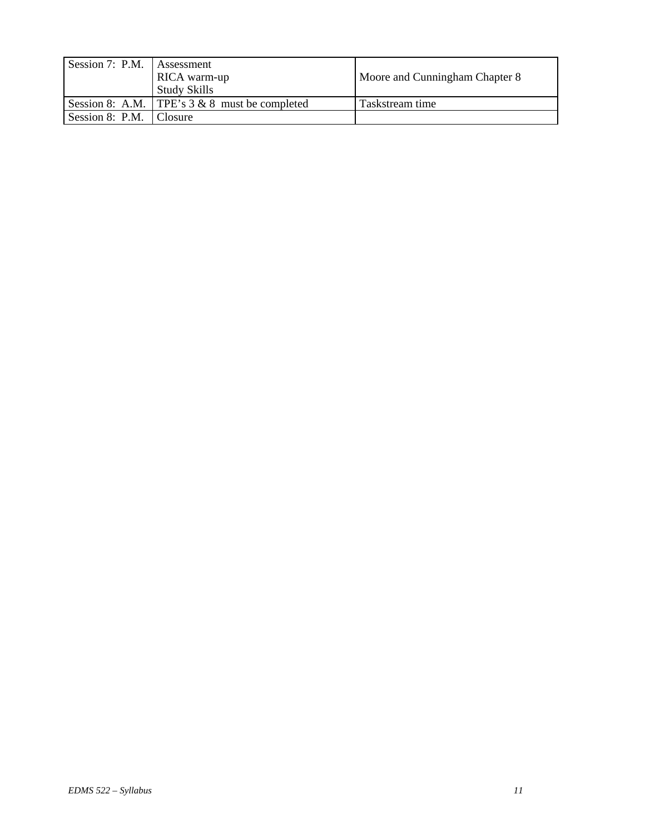| Session 7: P.M. | Assessment<br>RICA warm-up<br><b>Study Skills</b> | Moore and Cunningham Chapter 8 |
|-----------------|---------------------------------------------------|--------------------------------|
|                 | Session 8: A.M. TPE's $3 & 8$ must be completed   | Taskstream time                |
| Session 8: P.M. | Closure                                           |                                |